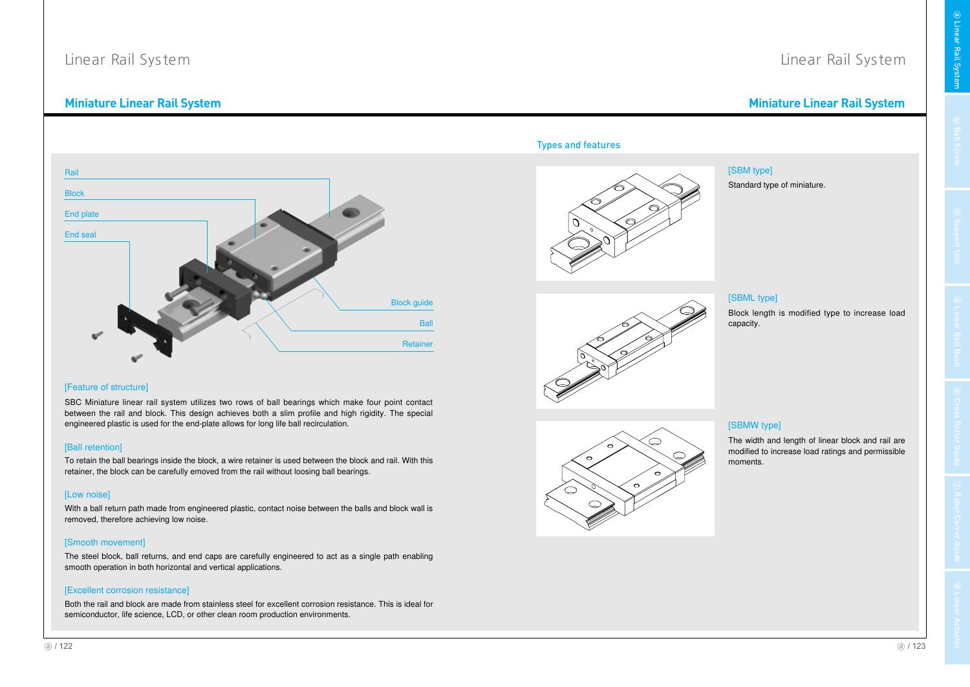# Miniature Linear Rail System

en de la provincia de la construction de la construction de la construction de la construction de la construct<br>La construction de la construction de la construction de la construction de la construction de la construction niature Linear Rail System

Linear Rail System



# [Feature of structure]

SBC Miniature linear rail system utilizes two rows of ball bearings which make four point contact between the rail and block. This design achieves both <sup>a</sup> slim profile and high rigidity. The special engineered plastic is used for the end-plate allows for long life ball recirculation.

# [Ball retention]

To retain the ball bearings inside the block, a wire retainer is used between the block and rail. With this retainer, the block can be carefully emoved from the rail without loosing ball bearings.

# [Low noise]

With a ball return path made from engineered plastic, contact noise between the balls and block wall is removed, therefore achieving low noise.

# [Smooth movement]

The steel block, ball returns, and end caps are carefully engineered to act as <sup>a</sup> single path enabling smooth operation in both horizontal and vertical applications.

### [Excellent corrosion resistance]

Both the rail and block are made from stainless steel for excellent corrosion resistance. This is ideal for<br>semiconductor, life science, LCD, or other clean room production environments.<br>(a) / 122 Both the rail and block are made from stainless steel for excellent corrosion resistance. This is ideal forsemiconductor, life science, LCD, or other clean room production environments.

# **Types and features**



[SBM type]Standard type of miniature.





# [SBML type]

Block length is modified type to increase load capacity.



### [SBMW type]

The width and length of linear block and rail are modified to increase load ratings and permissiblemoments.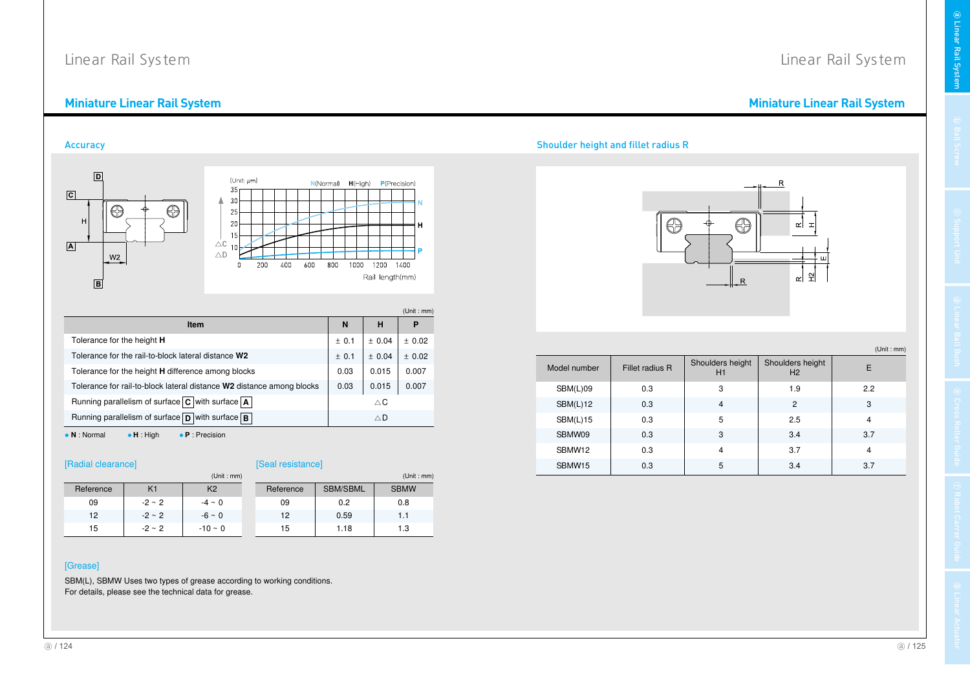### Miniature Linear Rail System en de la provincia de la construction de la construction de la construction de la construction de la construct<br>La construction de la construction de la construction de la construction de la construction de la construction

**Accuracy** 



|                                                                                       |            |               | (Unit : mm) |  |
|---------------------------------------------------------------------------------------|------------|---------------|-------------|--|
| Item                                                                                  | N          | н             | Р           |  |
| Tolerance for the height <b>H</b>                                                     | ± 0.1      | ± 0.04        | ± 0.02      |  |
| Tolerance for the rail-to-block lateral distance W2                                   | ± 0.1      | ± 0.04        | ± 0.02      |  |
| Tolerance for the height <b>H</b> difference among blocks                             | 0.03       | 0.015         | 0.007       |  |
| Tolerance for rail-to-block lateral distance W2 distance among blocks                 | 0.03       | 0.015         | 0.007       |  |
| Running parallelism of surface $\boxed{\text{C}}$ with surface $\boxed{\text{A}}$     |            | $\triangle$ C |             |  |
| Running parallelism of surface $\boxed{\mathbf{D}}$ with surface $\boxed{\mathbf{B}}$ | $\wedge$ D |               |             |  |

 <sup>N</sup>• **H** : High **P** : Precision

# [Seal resistance]

|           |                | (Unit : mm)    | (Unit : mm) |           |                 |             |  |  |  |
|-----------|----------------|----------------|-------------|-----------|-----------------|-------------|--|--|--|
| Reference | K <sub>1</sub> | K <sub>2</sub> |             | Reference | <b>SBM/SBML</b> | <b>SBMW</b> |  |  |  |
| 09        | $-2 \sim 2$    | $-4 \sim 0$    |             | 09        | 0.2             | 0.8         |  |  |  |
| 12        | $-2 \sim 2$    | $-6 \sim 0$    |             | 12        | 0.59            | 1.1         |  |  |  |
| 15        | $-2 \sim 2$    | $-10 \sim 0$   |             | 15        | 1.18            | 1.3         |  |  |  |

# [Grease]

SBM(L), SBMW Uses two types of grease according to working conditions. For details, please see the technical data for grease.

#### y state and the state of the state of the state of the state of the state of the state of the state of the state of the state of the state of the state of the state of the state of the state of the state of the state of th houlder height and fillet radius R

Model number

Ĥ

SBM(L)09

SBM(L)12

SBM(L)15

SBMW09

SBMW12

SBMW15

Fillet radius R



Shoulders height H1

0.3 <sup>3</sup> 1.9 2.2

2 0.3 4 2 3

0.3 <sup>5</sup> 2.5 <sup>4</sup>

9 0.3 3 3.4 3.7

2 0.3 4 3.7 4

5 | 0.3 | 5 | 3.4 | 3.7

Linear Rail System

**a** Linear Rai

္တ ystem

(Unit : mm)

Shoulders height  $H_2$  E

(a)  $/125$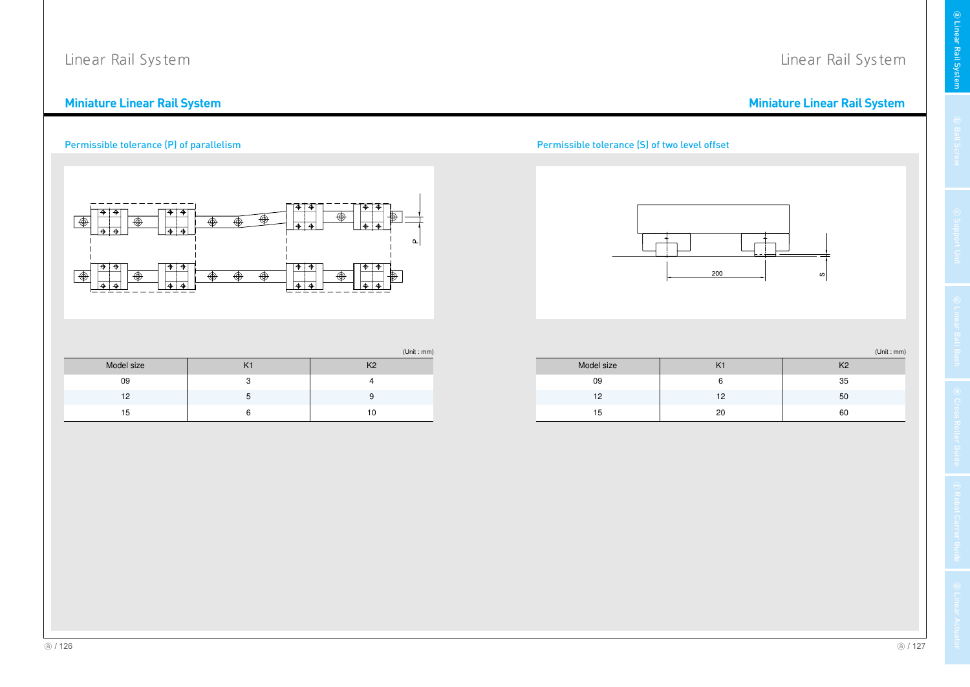### Miniature Linear Rail System en de la provincia de la construction de la construction de la construction de la construction de la construct<br>La construction de la construction de la construction de la construction de la construction de la construction

# Permissible tolerance (P) of parallelism



### ssible tolerance (S) of two level offset



(Unit : mm)

niature Linear Rail System

Linear Rail System

| Model size |    |    |
|------------|----|----|
| 09         |    | 35 |
| 12         | 12 | 50 |
| 15         | 20 | 60 |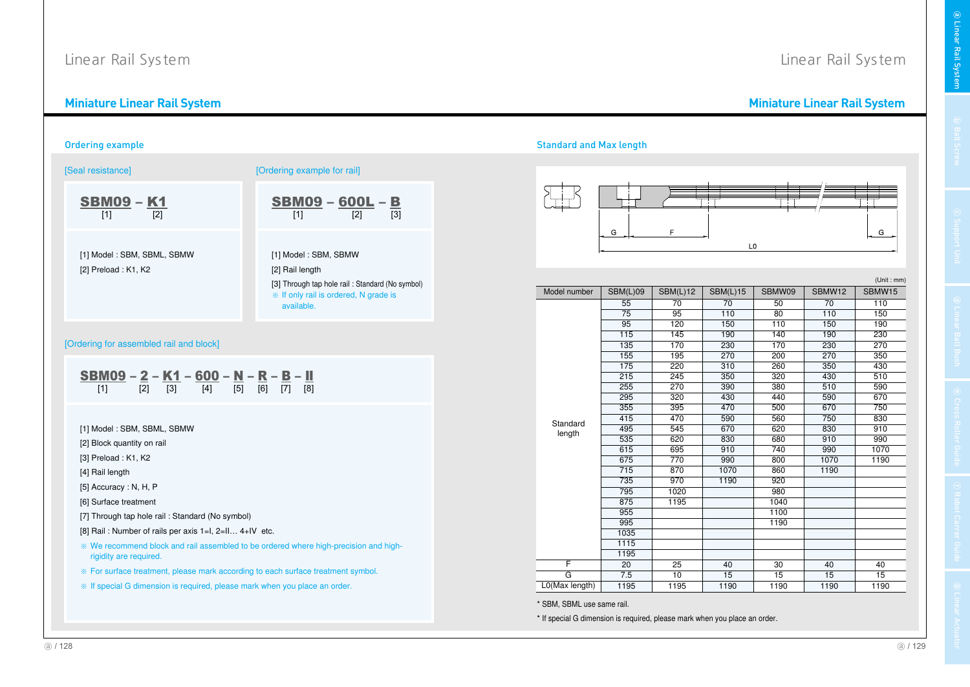<u>Miniature Linear Rail System</u>



# Miniature Linear Rail System

| [Seal resistance]                                                                                                                                                         | [Ordering example for rail]                         |                |                            |                                      |                  |                         |                  |                  |
|---------------------------------------------------------------------------------------------------------------------------------------------------------------------------|-----------------------------------------------------|----------------|----------------------------|--------------------------------------|------------------|-------------------------|------------------|------------------|
| <b>SBM09 - K1</b><br>$[2]$<br>$[1]$                                                                                                                                       | <b>SBM09</b> - 600L - B<br>[1]                      |                | G                          | E                                    |                  |                         |                  | G                |
| [1] Model: SBM, SBML, SBMW<br>[2] Preload: K1, K2                                                                                                                         | [1] Model: SBM, SBMW<br>[2] Rail length             |                |                            |                                      |                  | L <sub>0</sub>          |                  | (Unit : mm)      |
|                                                                                                                                                                           | [3] Through tap hole rail : Standard (No symbol)    | Model number   | SBM(L)09                   | SBM(L)12                             | SBM(L)15         | SBMW09                  | SBMW12           | SBMW15           |
|                                                                                                                                                                           | * If only rail is ordered, N grade is<br>available. |                | 55                         | 70                                   | 70               | 50                      | 70               | 110              |
|                                                                                                                                                                           |                                                     |                | 75                         | 95                                   | 110              | 80                      | 110              | 150              |
|                                                                                                                                                                           |                                                     |                | 95                         | 120                                  | 150              | 110                     | 150              | 190              |
|                                                                                                                                                                           |                                                     |                | 115                        | $\frac{145}{ }$                      | 190              | 140                     | 190              | 230              |
| [Ordering for assembled rail and block]                                                                                                                                   |                                                     |                | $\overline{135}$           | $\overline{170}$                     | $\overline{230}$ | 170<br>$\overline{200}$ | $\overline{230}$ | $\overline{270}$ |
|                                                                                                                                                                           |                                                     |                | 155<br>$\overline{175}$    | $\overline{195}$<br>$\overline{220}$ | 270<br>310       | 260                     | 270<br>350       | 350<br>430       |
|                                                                                                                                                                           |                                                     |                | 215                        | 245                                  | 350              | 320                     | 430              | 510              |
| <b>SBM09</b> - 2 - K1 - 600 - N - R - B - II<br>[1] $\frac{[1]}{[2]}$ - $\frac{[2]}{[3]}$ - $\frac{[3]}{[4]}$ - $\frac{[5]}{[5]}$ - $\frac{[6]}{[7]}$ - $\frac{[8]}{[8]}$ |                                                     |                | 255                        | 270                                  | 390              | 380                     | 510              | 590              |
|                                                                                                                                                                           |                                                     |                | 295                        | 320                                  | 430              | 440                     | 590              | 670              |
|                                                                                                                                                                           |                                                     |                | 355                        | 395<br>470<br>500<br>670             |                  | 750                     |                  |                  |
|                                                                                                                                                                           |                                                     | Standard       | 415                        | 470                                  | 590              | 560                     | 750              | 830              |
| [1] Model: SBM, SBML, SBMW                                                                                                                                                |                                                     | length         | 495                        | 545                                  | 670              | 620                     | 830              | $\overline{910}$ |
| [2] Block quantity on rail                                                                                                                                                |                                                     |                | 535<br>615                 | 620<br>695                           | 830<br>910       | 680<br>740              | 910<br>990       | 990<br>1070      |
| [3] Preload: K1, K2                                                                                                                                                       |                                                     |                | 675                        | 770                                  | 990              | 800                     | 1070             | 1190             |
| [4] Rail length                                                                                                                                                           |                                                     |                | 715                        | 870                                  | 1070             | 860                     | 1190             |                  |
|                                                                                                                                                                           |                                                     |                | 735                        | 970                                  | 1190             | $\overline{920}$        |                  |                  |
| [5] Accuracy: N, H, P                                                                                                                                                     |                                                     |                | 795                        | 1020                                 |                  | 980                     |                  |                  |
| [6] Surface treatment                                                                                                                                                     |                                                     |                | 875                        | 1195                                 |                  | 1040                    |                  |                  |
| [7] Through tap hole rail: Standard (No symbol)                                                                                                                           |                                                     |                | 955<br>995                 |                                      |                  | 1100<br>1190            |                  |                  |
| [8] Rail: Number of rails per axis 1=1, 2=11 4+IV etc.                                                                                                                    |                                                     |                | 1035                       |                                      |                  |                         |                  |                  |
| * We recommend block and rail assembled to be ordered where high-precision and high-                                                                                      |                                                     |                | 1115                       |                                      |                  |                         |                  |                  |
| rigidity are required.                                                                                                                                                    |                                                     |                | 1195                       |                                      |                  |                         |                  |                  |
|                                                                                                                                                                           |                                                     | F.             | $\overline{20}$            | $\overline{25}$                      | 40               | 30                      | 40               | 40               |
| * For surface treatment, please mark according to each surface treatment symbol.                                                                                          |                                                     | G              | 7.5                        | 10                                   | 15               | 15                      | 15               | 15               |
| * If special G dimension is required, please mark when you place an order.                                                                                                |                                                     | L0(Max length) | 1195                       | 1195                                 | 1190             | 1190                    | 1190             | 1190             |
|                                                                                                                                                                           |                                                     |                | * SBM, SBML use same rail. |                                      |                  |                         |                  |                  |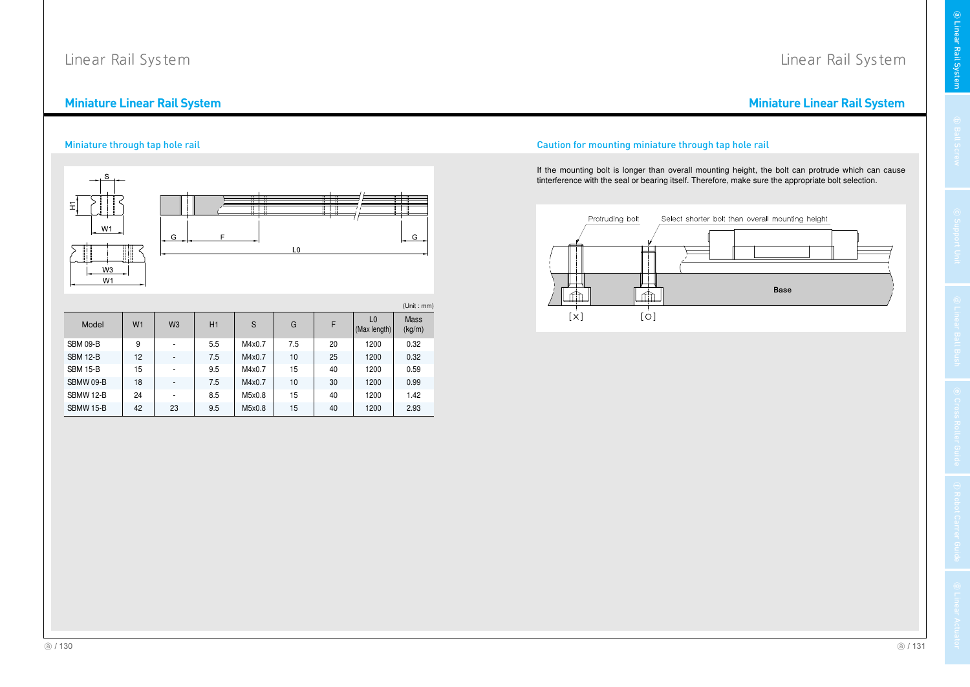### Miniature Linear Rail System en de la provincia de la construction de la construction de la construction de la construction de la construct<br>La construction de la construction de la construction de la construction de la construction de la construction

Miniature through tap hole rail

### $E$ Ħ  $\top$ m  $W1$  $\mathsf{G}$  $\mathsf{G}% _{\mathsf{G}}^{\mathsf{G}}(\mathcal{A})$  $\mathsf F$  $\overline{10}$  $W3$  $W<sub>1</sub>$ (Unit : mm) Mass (kg/m)  $F = \begin{bmatrix} \text{LO} \\ (\text{Max length}) \end{bmatrix}$ Model W1 $S \qquad G$ 1 | W3 | H1 | S SBM 09-BB | 9 | - | 5.5 | M4x0.7 | 7.5 | 20 | 1200 | 0.32 SBM 12-BB | 12 | - | 7.5 | M4x0.7 | 10 | 25 | 1200 | 0.32 SBM 15-BB | 15 | - | 9.5 || M4x0.7 | 15 | 40 | 1200 | 0.59 SBMW 09-BB | 18 | - | 7.5 | M4x0.7 | 10 | 30 | 1200 | 0.99 SBMW 12-BB | 24 | - | 8.5 | M5x0.8 | 15 | 40 | 1200 | 1.42 SBMW 15-BB | 42 | 23 | 9.5 | M5x0.8 | 15 | 40 | 1200 | 2.93

#### l and the contract of the contract of the contract of the contract of the contract of the contract of the contract of the contract of the contract of the contract of the contract of the contract of the contract of the cont on for mounting miniature through tap hole rail

If the mounting bolt is longer than overall mounting height, the bolt can protrude which can cause tinterference with the seal or bearing itself. Therefore, make sure the appropriate bolt selection.



# Linear Rail System

niature Linear Rail System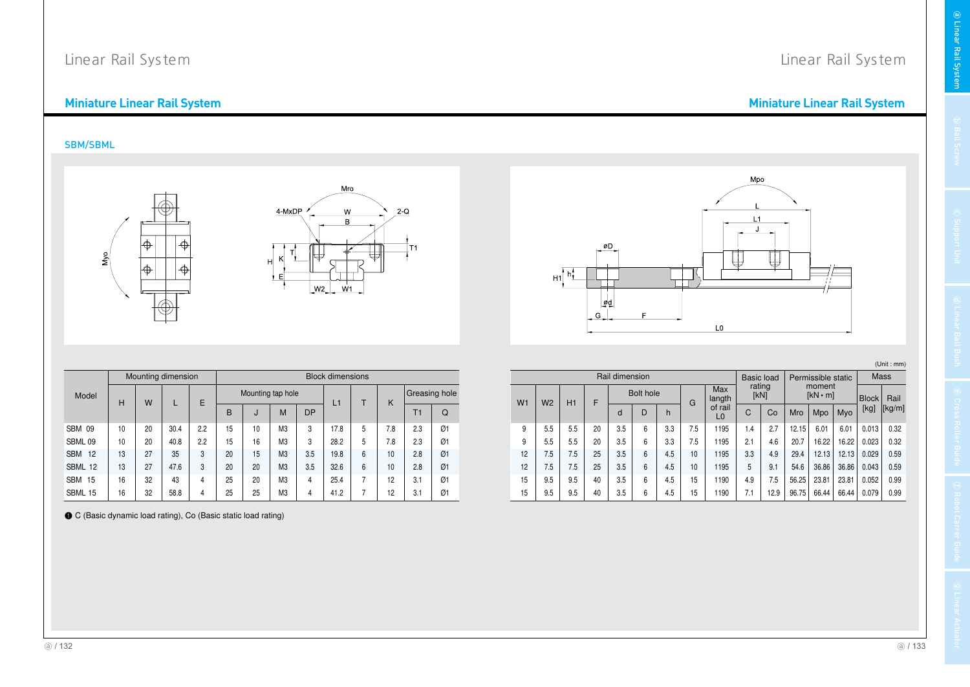### Miniature Linear Rail System en de la provincia de la construction de la construction de la construction de la construction de la construct<br>La construction de la construction de la construction de la construction de la construction de la construction

# SBM/SBML



|                  |    | Mounting dimension |      |     | <b>Block dimensions</b> |    |                   |           |      |   |     |     |               |  |
|------------------|----|--------------------|------|-----|-------------------------|----|-------------------|-----------|------|---|-----|-----|---------------|--|
| Model            | н  | W                  |      | E   |                         |    | Mounting tap hole |           | L1   | т | K   |     | Greasing hole |  |
|                  |    |                    |      |     | B                       | J  | M                 | <b>DP</b> |      |   |     | T1  | Q             |  |
| <b>SBM 09</b>    | 10 | 20                 | 30.4 | 2.2 | 15                      | 10 | M3                | 3         | 17.8 | 5 | 7.8 | 2.3 | Ø1            |  |
| SBML 09          | 10 | 20                 | 40.8 | 2.2 | 15                      | 16 | M3                | 3         | 28.2 | 5 | 7.8 | 2.3 | Ø1            |  |
| <b>SBM</b><br>12 | 13 | 27                 | 35   | 3   | 20                      | 15 | M <sub>3</sub>    | 3.5       | 19.8 | 6 | 10  | 2.8 | Ø1            |  |
| SBML 12          | 13 | 27                 | 47.6 | 3   | 20                      | 20 | M <sub>3</sub>    | 3.5       | 32.6 | 6 | 10  | 2.8 | Ø1            |  |
| <b>SBM</b><br>15 | 16 | 32                 | 43   | 4   | 25                      | 20 | M3                | 4         | 25.4 | 7 | 12  | 3.1 | Ø1            |  |
| SBML 15          | 16 | 32                 | 58.8 | 4   | 25                      | 25 | M3                | 4         | 41.2 | 7 | 12  | 3.1 | Ø1            |  |

● C (Basic dynamic load rating), Co (Basic static load rating)

niature Linear Rail System

Linear Rail System



# (Unit : mm)

| Rail dimension |                                  |     |    |             |                           |     |     |      |     | Permissible static<br><b>Basic load</b> |           |        |       |               | Mass |        |  |                          |  |              |      |
|----------------|----------------------------------|-----|----|-------------|---------------------------|-----|-----|------|-----|-----------------------------------------|-----------|--------|-------|---------------|------|--------|--|--------------------------|--|--------------|------|
|                | W <sub>1</sub><br>W <sub>2</sub> | H1  |    |             |                           |     |     |      | F   |                                         | Bolt hole |        | G     | Max<br>langth | [kN] | rating |  | moment<br>$[kN \cdot m]$ |  | <b>Block</b> | Rail |
|                |                                  |     |    | D<br>h<br>d | of rail<br>L <sub>0</sub> | C   | Co  | Mro  | Mpo | Myo                                     | [kg]      | [kg/m] |       |               |      |        |  |                          |  |              |      |
| 9              | 5.5                              | 5.5 | 20 | 3.5         | 6                         | 3.3 | 7.5 | 1195 | 1.4 | 2.7                                     | 12.15     | 6.01   | 6.01  | 0.013         | 0.32 |        |  |                          |  |              |      |
| 9              | 5.5                              | 5.5 | 20 | 3.5         | 6                         | 3.3 | 7.5 | 1195 | 2.1 | 4.6                                     | 20.7      | 16.22  | 16.22 | 0.023         | 0.32 |        |  |                          |  |              |      |
| 12             | 7.5                              | 7.5 | 25 | 3.5         | 6                         | 4.5 | 10  | 1195 | 3.3 | 4.9                                     | 29.4      | 12.13  | 12.13 | 0.029         | 0.59 |        |  |                          |  |              |      |
| 12             | 7.5                              | 7.5 | 25 | 3.5         | 6                         | 4.5 | 10  | 1195 | 5   | 9.1                                     | 54.6      | 36.86  | 36.86 | 0.043         | 0.59 |        |  |                          |  |              |      |
| 15             | 9.5                              | 9.5 | 40 | 3.5         | 6                         | 4.5 | 15  | 1190 | 4.9 | 7.5                                     | 56.25     | 23.81  | 23.81 | 0.052         | 0.99 |        |  |                          |  |              |      |
| 15             | 9.5                              | 9.5 | 40 | 3.5         | 6                         | 4.5 | 15  | 1190 | 7.1 | 12.9                                    | 96.75     | 66.44  | 66.44 | 0.079         | 0.99 |        |  |                          |  |              |      |